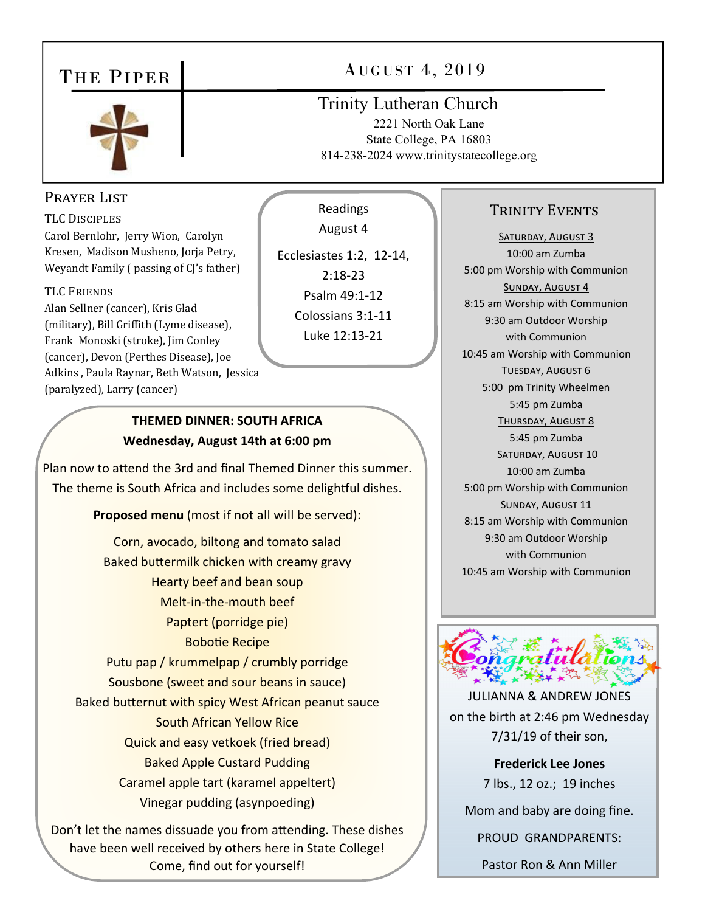# THE PIPER



### Prayer List

#### TLC DISCIPLES

Carol Bernlohr, Jerry Wion, Carolyn Kresen, Madison Musheno, Jorja Petry, Weyandt Family ( passing of CJ's father)

#### TLC FRIENDS

Alan Sellner (cancer), Kris Glad (military), Bill Griffith (Lyme disease), Frank Monoski (stroke), Jim Conley (cancer), Devon (Perthes Disease), Joe Adkins , Paula Raynar, Beth Watson, Jessica (paralyzed), Larry (cancer)

#### **THEMED DINNER: SOUTH AFRICA Wednesday, August 14th at 6:00 pm**

Plan now to attend the 3rd and final Themed Dinner this summer. The theme is South Africa and includes some delightful dishes.

**Proposed menu** (most if not all will be served):

Corn, avocado, biltong and tomato salad Baked buttermilk chicken with creamy gravy Hearty beef and bean soup Melt‐in‐the‐mouth beef Paptert (porridge pie) BoboƟe Recipe Putu pap / krummelpap / crumbly porridge Sousbone (sweet and sour beans in sauce) Baked butternut with spicy West African peanut sauce South African Yellow Rice Quick and easy vetkoek (fried bread) Baked Apple Custard Pudding Caramel apple tart (karamel appeltert) Vinegar pudding (asynpoeding)

Don't let the names dissuade you from attending. These dishes have been well received by others here in State College! Come, find out for yourself!

AUGUST 4, 2019

# Trinity Lutheran Church

2221 North Oak Lane State College, PA 16803 814-238-2024 www.trinitystatecollege.org

Readings

August 4

Ecclesiastes 1:2, 12‐14, 2:18‐23 Psalm 49:1‐12 Colossians 3:1‐11 Luke 12:13‐21

#### TRINITY EVENTS

SATURDAY, AUGUST 3 10:00 am Zumba 5:00 pm Worship with Communion SUNDAY, AUGUST 4 8:15 am Worship with Communion 9:30 am Outdoor Worship with Communion 10:45 am Worship with Communion TUESDAY, AUGUST 6 5:00 pm Trinity Wheelmen 5:45 pm Zumba THURSDAY, AUGUST 8 5:45 pm Zumba SATURDAY, AUGUST 10 10:00 am Zumba 5:00 pm Worship with Communion SUNDAY, AUGUST 11 8:15 am Worship with Communion 9:30 am Outdoor Worship with Communion 10:45 am Worship with Communion



JULIANNA & ANDREW JONES on the birth at 2:46 pm Wednesday 7/31/19 of their son,

> **Frederick Lee Jones** 7 lbs., 12 oz.; 19 inches

Mom and baby are doing fine.

PROUD GRANDPARENTS:

Pastor Ron & Ann Miller